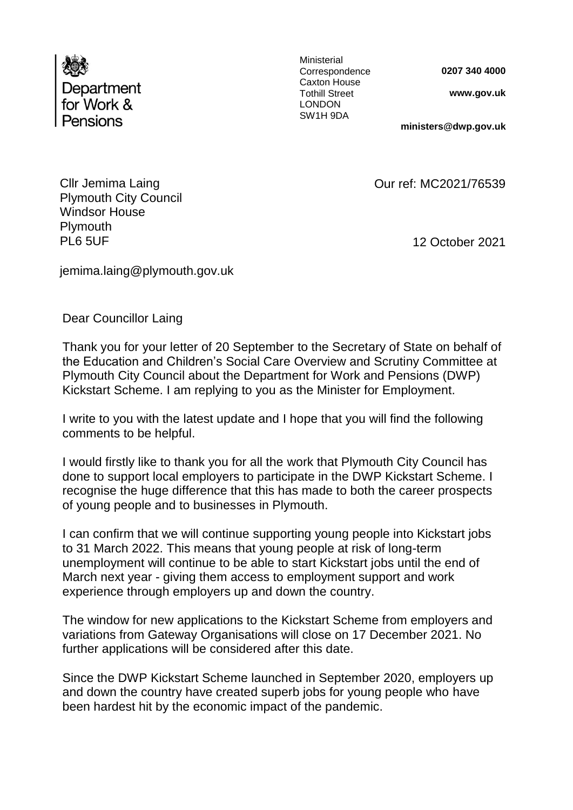

Ministerial Correspondence Caxton House Tothill Street LONDON SW1H 9DA

**0207 340 4000**

**www.gov.uk** 

**ministers@dwp.gov.uk**

12 October 2021

Our ref: MC2021/76539

Cllr Jemima Laing Plymouth City Council Windsor House **Plymouth** PL6 5UF

jemima.laing@plymouth.gov.uk

Dear Councillor Laing

Thank you for your letter of 20 September to the Secretary of State on behalf of the Education and Children's Social Care Overview and Scrutiny Committee at Plymouth City Council about the Department for Work and Pensions (DWP) Kickstart Scheme. I am replying to you as the Minister for Employment.

I write to you with the latest update and I hope that you will find the following comments to be helpful.

I would firstly like to thank you for all the work that Plymouth City Council has done to support local employers to participate in the DWP Kickstart Scheme. I recognise the huge difference that this has made to both the career prospects of young people and to businesses in Plymouth.

I can confirm that we will continue supporting young people into Kickstart jobs to 31 March 2022. This means that young people at risk of long-term unemployment will continue to be able to start Kickstart jobs until the end of March next year - giving them access to employment support and work experience through employers up and down the country.

The window for new applications to the Kickstart Scheme from employers and variations from Gateway Organisations will close on 17 December 2021. No further applications will be considered after this date.

Since the DWP Kickstart Scheme launched in September 2020, employers up and down the country have created superb jobs for young people who have been hardest hit by the economic impact of the pandemic.